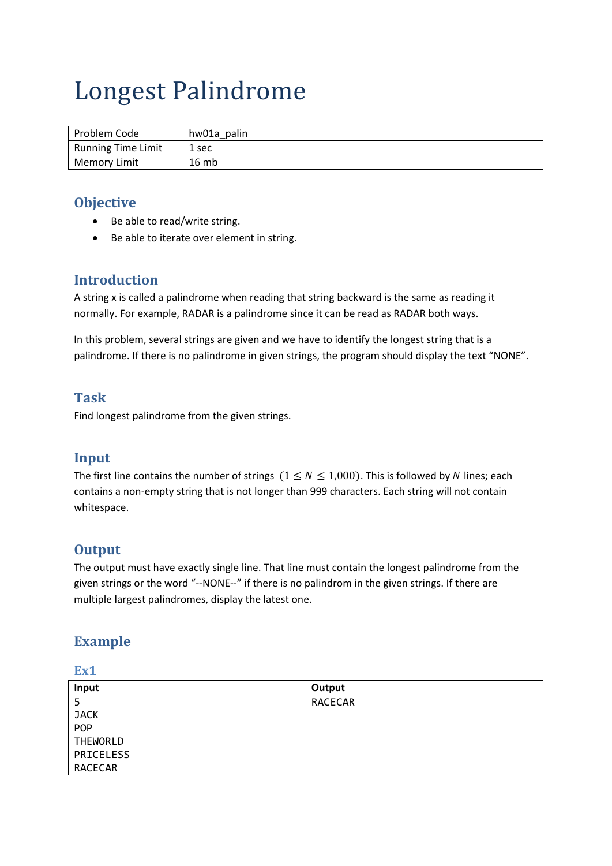# Longest Palindrome

| Problem Code              | hw01a palin |
|---------------------------|-------------|
| <b>Running Time Limit</b> | 1 sec       |
| <b>Memory Limit</b>       | 16mb        |

# **Objective**

- Be able to read/write string.
- Be able to iterate over element in string.

# **Introduction**

A string x is called a palindrome when reading that string backward is the same as reading it normally. For example, RADAR is a palindrome since it can be read as RADAR both ways.

In this problem, several strings are given and we have to identify the longest string that is a palindrome. If there is no palindrome in given strings, the program should display the text "NONE".

## **Task**

Find longest palindrome from the given strings.

# **Input**

The first line contains the number of strings  $(1 \le N \le 1,000)$ . This is followed by N lines; each contains a non‐empty string that is not longer than 999 characters. Each string will not contain whitespace.

# **Output**

The output must have exactly single line. That line must contain the longest palindrome from the given strings or the word "--NONE--" if there is no palindrom in the given strings. If there are multiple largest palindromes, display the latest one.

# **Example**

| ---             |                |
|-----------------|----------------|
| Input           | Output         |
| 5               | <b>RACECAR</b> |
| <b>JACK</b>     |                |
| <b>POP</b>      |                |
| <b>THEWORLD</b> |                |
| PRICELESS       |                |
| <b>RACECAR</b>  |                |

#### **Ex1**